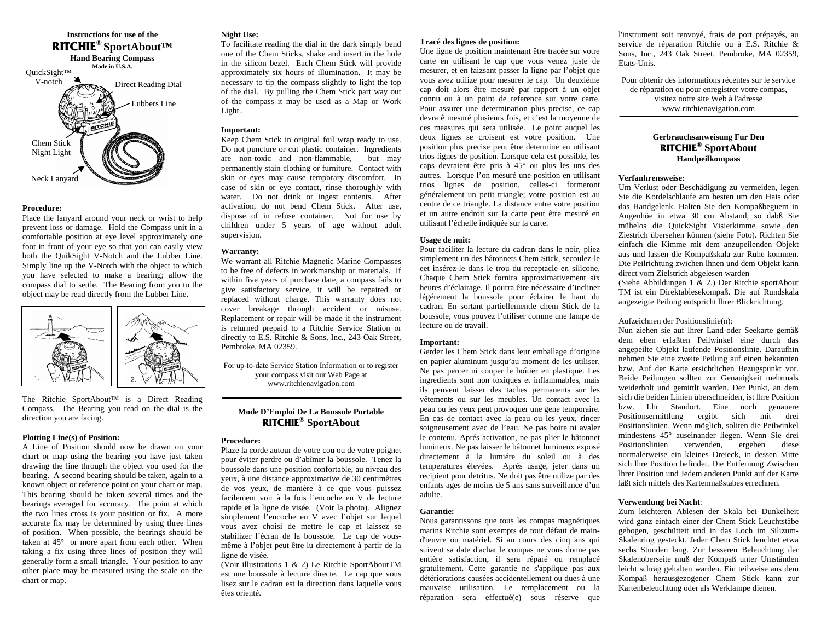

## **Procedure:**

Place the lanyard around your neck or wrist to help prevent loss or da mage. Hold the Co mpass unit in a co mfortable position at eye level approximately one foot in front of your eye so that you can easily view both the QuikSight V-Notch and the Lubber Line. Si mply line up the V-Notch with the object to which you have selected to make a bearing; allow the co mpass dial to settle. The Bearing fro m you to the object may be read directly from the Lubber Line.



The Ritchie SportAbout™ is a Direct Reading Co mpass. The Bearing you read on the dial is the direction you are facing.

#### **Plotting Line(s) of Position:**

A Line of Position should now be drawn on your chart or map using the bearing you have just taken drawing the line through the object you used for the bearing. A second bearing should be taken, again to a known object or reference point on your chart or map. This bearing should be taken several times and the bearings averaged for accuracy. The point at which the two lines cross is your position or fix. A more accurate fix may be deter mined by using three lines of position. When possible, the bearings should be taken at 45° or more apart from each other. When taking a fix using three lines of position they will generally form a s mall triangle. Your position to any other place may be measured using the scale on the chart or map.

# **Night Use:**

To facilitate reading the dial in the dark si mply bend one of the Chem Sticks, shake and insert in the hole in the silicon bezel. Each Chem Stick will provide approxi mately six hours of illu mination. It may be necessary to tip the co mpass slightly to light the top of the dial. By pulling the Chem Stick part way out of the compass it may be used as a Map or Work Light..

# **Important:**

Keep Che m Stick in original foil wrap ready to use. Do not puncture or cut plastic container. Ingredients are non-toxic and non-flammable, but may permanently stain clothing or furniture. Contact with skin or eyes may cause temporary disco mfort. In case of skin or eye contact, rinse thoroughly with water. Do not drink or ingest contents. After activation, do not bend Chem Stick. After use, dispose of in refuse container. Not for use by children under 5 years of age without adult supervision.

# **Warranty:**

We warrant all Ritchie Magnetic Marine Compasses to be free of defects in workmanship or materials. Ifwithin five years of purchase date, a co mpass fails to give satisfactory service, it will be repaired or replaced without charge. This warranty does not cover breakage through accident or misuse. Replace ment or repair will be made if the instru ment is returned prepaid to a Ritchie Service Station or directly to E.S. Ritchie & Sons, Inc., 243 Oak Street, Pembroke, M A 02359.

For up-to-date Service Station Information or to register your compass visit our Web Page at www.ritchienavigation.co m

# **Mode D'E mploi De La Boussole Portable RITCHIE® SportAb out**

## **Procedure:**

Plaze la corde autour de votre cou ou de votre poignet pour éviter perdre ou d'abîmer la boussole. Tenez la boussole dans une position confortable, au niveau des yeux, à une distance approximative de 30 centimêtres de vos yeux, de manière à ce que vous puissez facile ment voir à la fois l'encoche en V de lecture rapide et la ligne de visée. ( Voir la photo). Alignez si mplement l'encoche en V avec l'objet sur lequel vous avez choisi de mettre le cap et laissez se stabilizer l'écran de la boussole. Le cap de vousmême à l'objet peut être lu directe ment à partir de la ligne de visée.

(Voir illustrations 1 & 2) Le Ritchie SportAboutTM est une boussole à lecture directe. Le cap que vous lisez sur le cadran est la direction dans laquelle vous êtes orienté.

## **Tracé des lignes de position:**

Une ligne de position maintenant être tracée sur votre carte en utilisant le cap que vous venez juste de mesurer, et en faizsant passer la ligne par l'objet que vous avez utilize pour mesurer ie cap. Un deuxié mecap doit alors être mesuré par rapport à un objet connu ou à un point de reference sur votre carte. Pour assurer une determination plus precise, ce cap devra ê mesuré plusieurs fois, et c'est la moyenne de ces measures qui sera utilisée. Le point auquel les deux lignes se croisent est votre position. Une position plus precise peut être determine en utilisant trios lignes de position. Lorsque cela est possible, les caps devraient être pris à 45° ou plus les uns des autres. Lorsque l'on mesuré une position en utilisant trios lignes de position, celles-ci formeront générale ment un petit triangle; votre position est au centre de ce triangle. La distance entre votre position et un autre endroit sur la carte peut être mesuré en utilisant l'èchelle indiquée sur la carte.

#### **Usage de nuit:**

Pour faciliter la lecture du cadran dans le noir, pliez simplement un des bâtonnets Chem Stick, secoulez-le eet insérez-le dans le trou du receptacle en silicone. Chaque Chem Stick fornira approximative ment six heures d'éclairage. Il pourra être nécessaire d'incliner légérement la boussole pour éclairer le haut du cadran. En sortant partielle mentle chem Stick de la boussole, vous pouvez l'utiliser co mme une la mpe de lecture ou de travail.

# **Important:**

Gerder les Chem Stick dans leur emballage d'origine en papier alu minu m jusqu'au moment de les utiliser. Ne pas percer ni couper le boîtier en plastique. Les ingredients sont non toxiques et inflam mables, mais ils peuvent laisser des taches permanents sur les vêtements ou sur les meubles. Un contact avec la peau ou les yeux peut provoquer une gene temporaire. En cas de contact avec la peau ou les yeux, rincer soigneuse ment avec de l'eau. Ne pas boire ni avaler le contenu. Aprés activation, ne pas plier le bâtonnet lu mineux. Ne pas laisser le bâtonnet lu mineux exposé directement à la lumiére du soleil ou à deste mperatures élevées. Aprés usage, jeter dans un recipient pour detritus. Ne doit pas être utilize par des enfants ages de moins de 5 ans sans surveillance d'un adulte.

## **Garantie:**

Nous garantissons que tous les compas magnétiques marins Ritchie sont exempts de tout défaut de maind'œuvre ou matériel. Si au cours des cinq ans qui suivent sa date d'achat le compas ne vous donne pas entière satisfaction, il sera réparé ou re mplacé gratuitement. Cette garantie ne s'applique pas aux détériorations causées accidentelle ment ou dues à une mauvaise utilisation. Le remplace ment ou laréparation sera effectué(e) sous réserve que

l'instrument soit renvoyé, frais de port prépayés, au service de réparation Ritchie ou à E.S. Ritchie & Sons, Inc., 243 Oak Street, Pe mbroke, M A 02359, États-Unis.

Pour obtenir des informations récentes sur le service de réparation ou pour enregistrer votre co mpas, visitez notre site Web à l'adresse www.ritchienavigation.co m

# **Gerbrauchsanweisung Fur Den RITCHIE ® S port About Handpeilkompass**

#### **Verfanhrensweise:**

 Um Verlust oder Beschädigung zu vermeiden, legen Sie die Kordelschlaufe am besten um den Hais oder das Handgelenk. Halten Sie den Ko mpaßbeguem in Augenhöe in etwa 30 cm Abstand, so dabß Sie mühelos die QuickSight Visierkim me sowie den Ziestrich übersehen können (siehe Foto). Richten Sie einfach die Kimme mit dem anzupeilenden Objekt aus und lassen die Kompaßskala zur Ruhe ko mmen. Die Peilrichtung zwichen lhnen und dem Objekt kann direct vo m Zielstrich abgelesen warden

(Siehe Abbildungen 1 & 2.) Der Ritchie sportAbout TM ist ein Direktablesekompaß. Die auf Rundskala angezeigte Peilung entspricht lhrer Blickrichtung.

## Aufzeichnen der Positionslinie(n):

Nun ziehen sie auf lhrer Land-oder Seekarte ge mäßdem eben erfaßten Peilwinkel eine durch das angepeilte Objekt laufende Positionslinie. Daraufhin nehmen Sie eine zweite Peilung auf einen bekannten bzw. Auf der Karte ersichtlichen Bezugspunkt vor. Beide Peilungen sollten zur Genauigkeit mehrmalsweiderholt und ge mittlt warden. Der Punkt, an de msich die beiden Linien überschneiden, ist lhre Position bzw. Lhr Standort. Eine noch genauere Positionsermittlung ergibt sich mit dreiPositionslinien. Wenn möglich, soliten die Peilwinkel mindestens 45° auseinander liegen. Wenn Sie drei Positionslinien verwenden, ergeben diese normalerweise ein kleines Dreieck, in dessen Mitte sich lhre Position befindet. Die Entfernung Z wischen lhrer Position und Jedem anderen Punkt auf der Karte läßt sich mittels des Kartenmaßstabes errechnen.

## **Verwendung bei Nacht**:

Zum leichteren Ablesen der Skala bei Dunkelheit wird ganz einfach einer der Chem Stick Leuchtstäbe gebogen, geschütteit und in das Loch i m Silizu m-Skalenring gesteckt. Jeder Chem Stick leuchtet etwa sechs Stunden lang. Zur besseren Beleuchtung der Skalenoberseite muß der Kompaß unter Umständen leicht schräg gehalten warden. Ein teilweise aus dem Kompaß herausgezogener Chem Stick kann zur Kartenbeleuchtung oder als Werklampe dienen.